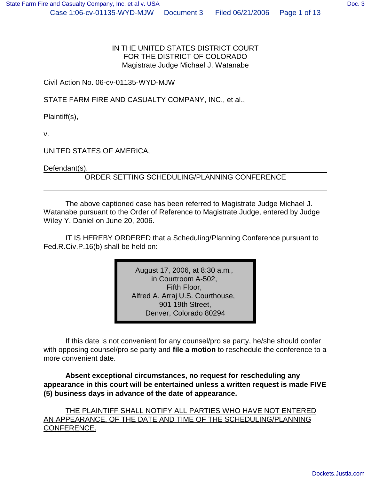IN THE UNITED STATES DISTRICT COURT FOR THE DISTRICT OF COLORADO Magistrate Judge Michael J. Watanabe

Civil Action No. 06-cv-01135-WYD-MJW

STATE FARM FIRE AND CASUALTY COMPANY, INC., et al.,

Plaintiff(s),

v.

UNITED STATES OF AMERICA,

Defendant(s).

ORDER SETTING SCHEDULING/PLANNING CONFERENCE

The above captioned case has been referred to Magistrate Judge Michael J. Watanabe pursuant to the Order of Reference to Magistrate Judge, entered by Judge Wiley Y. Daniel on June 20, 2006.

IT IS HEREBY ORDERED that a Scheduling/Planning Conference pursuant to Fed.R.Civ.P.16(b) shall be held on:

> August 17, 2006, at 8:30 a.m., in Courtroom A-502, Fifth Floor, Alfred A. Arraj U.S. Courthouse, 901 19th Street, Denver, Colorado 80294

If this date is not convenient for any counsel/pro se party, he/she should confer with opposing counsel/pro se party and **file a motion** to reschedule the conference to a more convenient date.

**Absent exceptional circumstances, no request for rescheduling any appearance in this court will be entertained unless a written request is made FIVE (5) business days in advance of the date of appearance.**

THE PLAINTIFF SHALL NOTIFY ALL PARTIES WHO HAVE NOT ENTERED AN APPEARANCE, OF THE DATE AND TIME OF THE SCHEDULING/PLANNING CONFERENCE.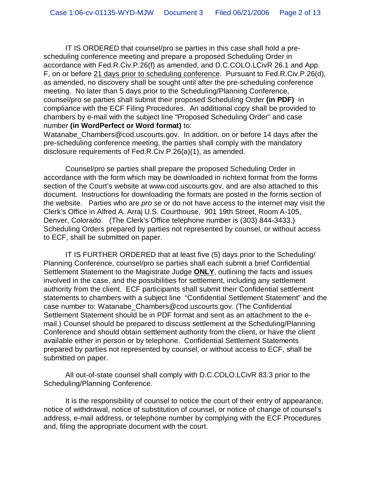IT IS ORDERED that counsel/pro se parties in this case shall hold a prescheduling conference meeting and prepare a proposed Scheduling Order in accordance with Fed.R.Civ.P.26(f) as amended, and D.C.COLO.LCivR 26.1 and App. F, on or before 21 days prior to scheduling conference. Pursuant to Fed.R.Civ.P.26(d), as amended, no discovery shall be sought until after the pre-scheduling conference meeting. No later than 5 days prior to the Scheduling/Planning Conference, counsel/pro se parties shall submit their proposed Scheduling Order **(in PDF)** in compliance with the ECF Filing Procedures. An additional copy shall be provided to chambers by e-mail with the subject line "Proposed Scheduling Order" and case number **(in WordPerfect or Word format)** to:

Watanabe Chambers@cod.uscourts.gov. In addition, on or before 14 days after the pre-scheduling conference meeting, the parties shall comply with the mandatory disclosure requirements of Fed.R.Civ.P.26(a)(1), as amended.

Counsel/pro se parties shall prepare the proposed Scheduling Order in accordance with the form which may be downloaded in richtext format from the forms section of the Court's website at www.cod.uscourts.gov, and are also attached to this document. Instructions for downloading the formats are posted in the forms section of the website. Parties who are *pro se* or do not have access to the internet may visit the Clerk's Office in Alfred A. Arraj U.S. Courthouse, 901 19th Street, Room A-105, Denver, Colorado. (The Clerk's Office telephone number is (303) 844-3433.) Scheduling Orders prepared by parties not represented by counsel, or without access to ECF, shall be submitted on paper.

IT IS FURTHER ORDERED that at least five (5) days prior to the Scheduling/ Planning Conference, counsel/pro se parties shall each submit a brief Confidential Settlement Statement to the Magistrate Judge **ONLY**, outlining the facts and issues involved in the case, and the possibilities for settlement, including any settlement authority from the client. ECF participants shall submit their Confidential settlement statements to chambers with a subject line "Confidential Settlement Statement" and the case number to: Watanabe\_Chambers@cod.uscourts.gov. (The Confidential Settlement Statement should be in PDF format and sent as an attachment to the email.) Counsel should be prepared to discuss settlement at the Scheduling/Planning Conference and should obtain settlement authority from the client, or have the client available either in person or by telephone. Confidential Settlement Statements prepared by parties not represented by counsel, or without access to ECF, shall be submitted on paper.

All out-of-state counsel shall comply with D.C.COLO.LCivR 83.3 prior to the Scheduling/Planning Conference.

It is the responsibility of counsel to notice the court of their entry of appearance, notice of withdrawal, notice of substitution of counsel, or notice of change of counsel's address, e-mail address, or telephone number by complying with the ECF Procedures and, filing the appropriate document with the court.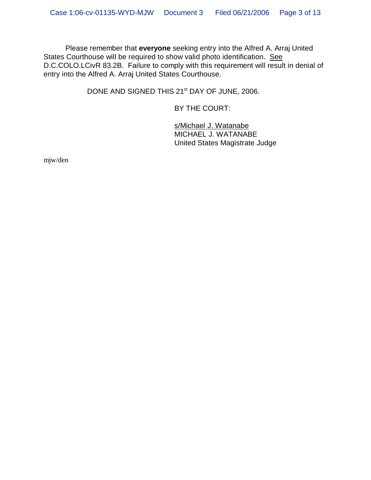Please remember that **everyone** seeking entry into the Alfred A. Arraj United States Courthouse will be required to show valid photo identification. See D.C.COLO.LCivR 83.2B. Failure to comply with this requirement will result in denial of entry into the Alfred A. Arraj United States Courthouse.

DONE AND SIGNED THIS 21<sup>st</sup> DAY OF JUNE, 2006.

BY THE COURT:

s/Michael J. Watanabe MICHAEL J. WATANABE United States Magistrate Judge

mjw/den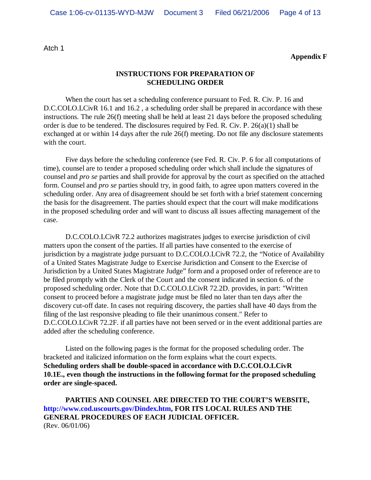Atch 1

**Appendix F**

#### **INSTRUCTIONS FOR PREPARATION OF SCHEDULING ORDER**

When the court has set a scheduling conference pursuant to Fed. R. Civ. P. 16 and D.C.COLO.LCivR 16.1 and 16.2, a scheduling order shall be prepared in accordance with these instructions. The rule 26(f) meeting shall be held at least 21 days before the proposed scheduling order is due to be tendered. The disclosures required by Fed. R. Civ. P. 26(a)(1) shall be exchanged at or within 14 days after the rule 26(f) meeting. Do not file any disclosure statements with the court.

Five days before the scheduling conference (see Fed. R. Civ. P. 6 for all computations of time), counsel are to tender a proposed scheduling order which shall include the signatures of counsel and *pro se* parties and shall provide for approval by the court as specified on the attached form. Counsel and *pro se* parties should try, in good faith, to agree upon matters covered in the scheduling order. Any area of disagreement should be set forth with a brief statement concerning the basis for the disagreement. The parties should expect that the court will make modifications in the proposed scheduling order and will want to discuss all issues affecting management of the case.

D.C.COLO.LCivR 72.2 authorizes magistrates judges to exercise jurisdiction of civil matters upon the consent of the parties. If all parties have consented to the exercise of jurisdiction by a magistrate judge pursuant to D.C.COLO.LCivR 72.2, the "Notice of Availability of a United States Magistrate Judge to Exercise Jurisdiction and Consent to the Exercise of Jurisdiction by a United States Magistrate Judge" form and a proposed order of reference are to be filed promptly with the Clerk of the Court and the consent indicated in section 6. of the proposed scheduling order. Note that D.C.COLO.LCivR 72.2D. provides, in part: "Written consent to proceed before a magistrate judge must be filed no later than ten days after the discovery cut-off date. In cases not requiring discovery, the parties shall have 40 days from the filing of the last responsive pleading to file their unanimous consent." Refer to D.C.COLO.LCivR 72.2F. if all parties have not been served or in the event additional parties are added after the scheduling conference.

Listed on the following pages is the format for the proposed scheduling order. The bracketed and italicized information on the form explains what the court expects. **Scheduling orders shall be double-spaced in accordance with D.C.COLO.LCivR 10.1E., even though the instructions in the following format for the proposed scheduling order are single-spaced.**

**PARTIES AND COUNSEL ARE DIRECTED TO THE COURT'S WEBSITE, http://www.cod.uscourts.gov/Dindex.htm, FOR ITS LOCAL RULES AND THE GENERAL PROCEDURES OF EACH JUDICIAL OFFICER.** (Rev. 06/01/06)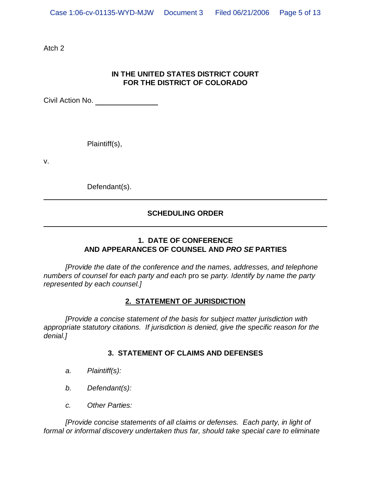Atch 2

# **IN THE UNITED STATES DISTRICT COURT FOR THE DISTRICT OF COLORADO**

Civil Action No.

Plaintiff(s),

v.

Defendant(s).

# **SCHEDULING ORDER**

# **1. DATE OF CONFERENCE AND APPEARANCES OF COUNSEL AND** *PRO SE* **PARTIES**

*[Provide the date of the conference and the names, addresses, and telephone numbers of counsel for each party and each* pro se *party. Identify by name the party represented by each counsel.]*

#### **2. STATEMENT OF JURISDICTION**

*[Provide a concise statement of the basis for subject matter jurisdiction with appropriate statutory citations. If jurisdiction is denied, give the specific reason for the denial.]*

## **3. STATEMENT OF CLAIMS AND DEFENSES**

- *a. Plaintiff(s):*
- *b. Defendant(s):*
- *c. Other Parties:*

*[Provide concise statements of all claims or defenses. Each party, in light of formal or informal discovery undertaken thus far, should take special care to eliminate*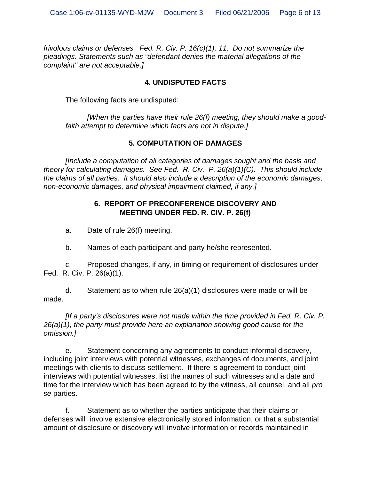*frivolous claims or defenses. Fed. R. Civ. P. 16(c)(1), 11. Do not summarize the pleadings. Statements such as "defendant denies the material allegations of the complaint" are not acceptable.]*

## **4. UNDISPUTED FACTS**

The following facts are undisputed:

*[When the parties have their rule 26(f) meeting, they should make a goodfaith attempt to determine which facts are not in dispute.]*

## **5. COMPUTATION OF DAMAGES**

*[Include a computation of all categories of damages sought and the basis and theory for calculating damages. See Fed. R. Civ. P. 26(a)(1)(C). This should include the claims of all parties. It should also include a description of the economic damages, non-economic damages, and physical impairment claimed, if any.]*

## **6. REPORT OF PRECONFERENCE DISCOVERY AND MEETING UNDER FED. R. CIV. P. 26(f)**

a. Date of rule 26(f) meeting.

b. Names of each participant and party he/she represented.

c. Proposed changes, if any, in timing or requirement of disclosures under Fed. R. Civ. P. 26(a)(1).

d. Statement as to when rule 26(a)(1) disclosures were made or will be made.

*[If a party's disclosures were not made within the time provided in Fed. R. Civ. P. 26(a)(1), the party must provide here an explanation showing good cause for the omission.]*

e. Statement concerning any agreements to conduct informal discovery, including joint interviews with potential witnesses, exchanges of documents, and joint meetings with clients to discuss settlement. If there is agreement to conduct joint interviews with potential witnesses, list the names of such witnesses and a date and time for the interview which has been agreed to by the witness, all counsel, and all *pro se* parties.

f. Statement as to whether the parties anticipate that their claims or defenses will involve extensive electronically stored information, or that a substantial amount of disclosure or discovery will involve information or records maintained in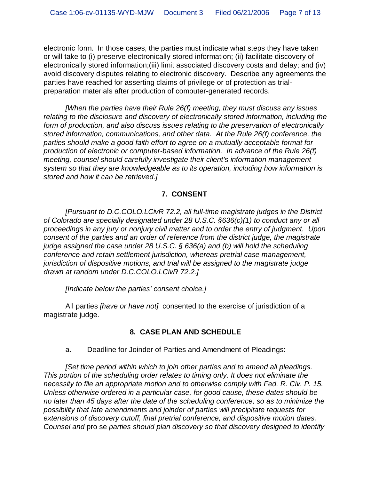electronic form. In those cases, the parties must indicate what steps they have taken or will take to (i) preserve electronically stored information; (ii) facilitate discovery of electronically stored information;(iii) limit associated discovery costs and delay; and (iv) avoid discovery disputes relating to electronic discovery. Describe any agreements the parties have reached for asserting claims of privilege or of protection as trialpreparation materials after production of computer-generated records.

*[When the parties have their Rule 26(f) meeting, they must discuss any issues relating to the disclosure and discovery of electronically stored information, including the form of production, and also discuss issues relating to the preservation of electronically stored information, communications, and other data. At the Rule 26(f) conference, the parties should make a good faith effort to agree on a mutually acceptable format for production of electronic or computer-based information. In advance of the Rule 26(f) meeting, counsel should carefully investigate their client's information management system so that they are knowledgeable as to its operation, including how information is stored and how it can be retrieved.]*

## **7. CONSENT**

*[Pursuant to D.C.COLO.LCivR 72.2, all full-time magistrate judges in the District of Colorado are specially designated under 28 U.S.C. §636(c)(1) to conduct any or all proceedings in any jury or nonjury civil matter and to order the entry of judgment. Upon consent of the parties and an order of reference from the district judge, the magistrate judge assigned the case under 28 U.S.C. § 636(a) and (b) will hold the scheduling conference and retain settlement jurisdiction, whereas pretrial case management, jurisdiction of dispositive motions, and trial will be assigned to the magistrate judge drawn at random under D.C.COLO.LCivR 72.2.]*

*[Indicate below the parties' consent choice.]*

All parties *[have or have not]* consented to the exercise of jurisdiction of a magistrate judge.

## **8. CASE PLAN AND SCHEDULE**

a. Deadline for Joinder of Parties and Amendment of Pleadings:

*[Set time period within which to join other parties and to amend all pleadings. This portion of the scheduling order relates to timing only. It does not eliminate the necessity to file an appropriate motion and to otherwise comply with Fed. R. Civ. P. 15. Unless otherwise ordered in a particular case, for good cause, these dates should be no later than 45 days after the date of the scheduling conference, so as to minimize the possibility that late amendments and joinder of parties will precipitate requests for extensions of discovery cutoff, final pretrial conference, and dispositive motion dates. Counsel and* pro se *parties should plan discovery so that discovery designed to identify*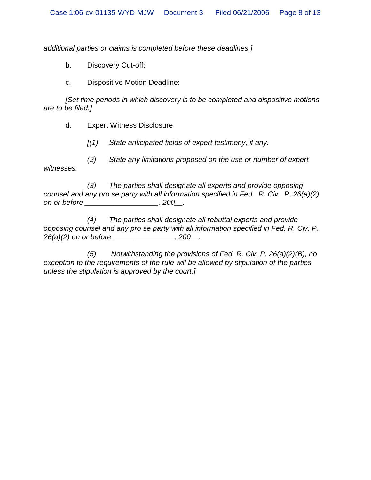*additional parties or claims is completed before these deadlines.]*

b. Discovery Cut-off:

c. Dispositive Motion Deadline:

*[Set time periods in which discovery is to be completed and dispositive motions are to be filed.]*

d. Expert Witness Disclosure

*[(1) State anticipated fields of expert testimony, if any.*

*(2) State any limitations proposed on the use or number of expert witnesses.*

*(3) The parties shall designate all experts and provide opposing counsel and any pro se party with all information specified in Fed. R. Civ. P. 26(a)(2) on or before \_\_\_\_\_\_\_\_\_\_\_\_\_\_\_\_\_\_, 200\_\_.*

*(4) The parties shall designate all rebuttal experts and provide opposing counsel and any pro se party with all information specified in Fed. R. Civ. P. 26(a)(2) on or before \_\_\_\_\_\_\_\_\_\_\_\_\_\_\_, 200\_\_.*

*(5) Notwithstanding the provisions of Fed. R. Civ. P. 26(a)(2)(B), no exception to the requirements of the rule will be allowed by stipulation of the parties unless the stipulation is approved by the court.]*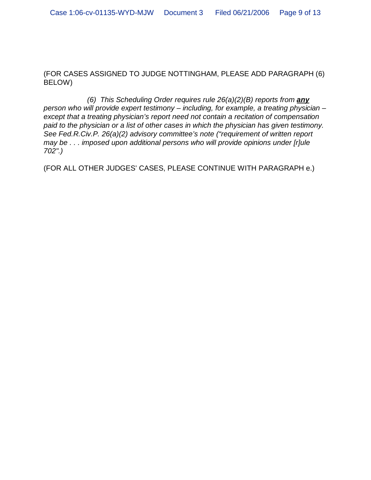(FOR CASES ASSIGNED TO JUDGE NOTTINGHAM, PLEASE ADD PARAGRAPH (6) BELOW)

*(6) This Scheduling Order requires rule 26(a)(2)(B) reports from any person who will provide expert testimony – including, for example, a treating physician – except that a treating physician's report need not contain a recitation of compensation paid to the physician or a list of other cases in which the physician has given testimony. See Fed.R.Civ.P. 26(a)(2) advisory committee's note ("requirement of written report may be . . . imposed upon additional persons who will provide opinions under [r]ule 702".)*

(FOR ALL OTHER JUDGES' CASES, PLEASE CONTINUE WITH PARAGRAPH e.)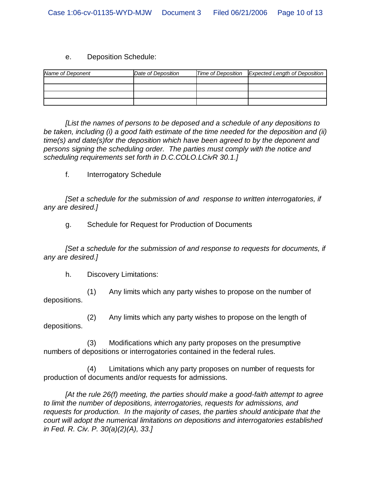#### e. Deposition Schedule:

| Name of Deponent | Date of Deposition | Time of Deposition Expected Length of Deposition |
|------------------|--------------------|--------------------------------------------------|
|                  |                    |                                                  |
|                  |                    |                                                  |
|                  |                    |                                                  |
|                  |                    |                                                  |

*[List the names of persons to be deposed and a schedule of any depositions to be taken, including (i) a good faith estimate of the time needed for the deposition and (ii) time(s) and date(s)for the deposition which have been agreed to by the deponent and persons signing the scheduling order. The parties must comply with the notice and scheduling requirements set forth in D.C.COLO.LCivR 30.1.]*

f. Interrogatory Schedule

*[Set a schedule for the submission of and response to written interrogatories, if any are desired.]*

g. Schedule for Request for Production of Documents

*[Set a schedule for the submission of and response to requests for documents, if any are desired.]*

h. Discovery Limitations:

(1) Any limits which any party wishes to propose on the number of depositions.

(2) Any limits which any party wishes to propose on the length of depositions.

(3) Modifications which any party proposes on the presumptive numbers of depositions or interrogatories contained in the federal rules.

(4) Limitations which any party proposes on number of requests for production of documents and/or requests for admissions.

*[At the rule 26(f) meeting, the parties should make a good-faith attempt to agree to limit the number of depositions, interrogatories, requests for admissions, and requests for production. In the majority of cases, the parties should anticipate that the court will adopt the numerical limitations on depositions and interrogatories established in Fed. R. Civ. P. 30(a)(2)(A), 33.]*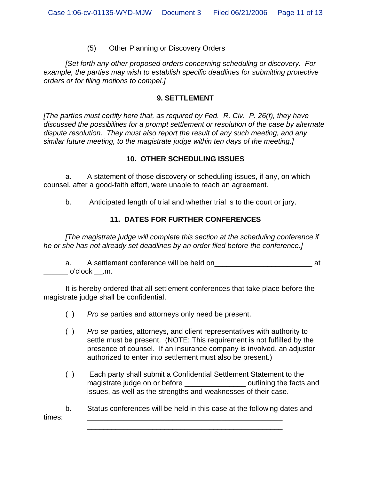#### (5) Other Planning or Discovery Orders

*[Set forth any other proposed orders concerning scheduling or discovery. For example, the parties may wish to establish specific deadlines for submitting protective orders or for filing motions to compel.]*

#### **9. SETTLEMENT**

*[The parties must certify here that, as required by Fed. R. Civ. P. 26(f), they have discussed the possibilities for a prompt settlement or resolution of the case by alternate dispute resolution. They must also report the result of any such meeting, and any similar future meeting, to the magistrate judge within ten days of the meeting.]*

#### **10. OTHER SCHEDULING ISSUES**

a. A statement of those discovery or scheduling issues, if any, on which counsel, after a good-faith effort, were unable to reach an agreement.

b. Anticipated length of trial and whether trial is to the court or jury.

## **11. DATES FOR FURTHER CONFERENCES**

*[The magistrate judge will complete this section at the scheduling conference if he or she has not already set deadlines by an order filed before the conference.]*

a. A settlement conference will be held on\_\_\_\_\_\_\_\_\_\_\_\_\_\_\_\_\_\_\_\_\_\_\_\_ at  $\_$  o'clock  $\_$ .m.

It is hereby ordered that all settlement conferences that take place before the magistrate judge shall be confidential.

- ( ) *Pro se* parties and attorneys only need be present.
- ( ) *Pro se* parties, attorneys, and client representatives with authority to settle must be present. (NOTE: This requirement is not fulfilled by the presence of counsel. If an insurance company is involved, an adjustor authorized to enter into settlement must also be present.)
- ( ) Each party shall submit a Confidential Settlement Statement to the magistrate judge on or before the section of continuing the facts and issues, as well as the strengths and weaknesses of their case.

b. Status conferences will be held in this case at the following dates and times: \_\_\_\_\_\_\_\_\_\_\_\_\_\_\_\_\_\_\_\_\_\_\_\_\_\_\_\_\_\_\_\_\_\_\_\_\_\_\_\_\_\_\_\_\_\_\_\_

\_\_\_\_\_\_\_\_\_\_\_\_\_\_\_\_\_\_\_\_\_\_\_\_\_\_\_\_\_\_\_\_\_\_\_\_\_\_\_\_\_\_\_\_\_\_\_\_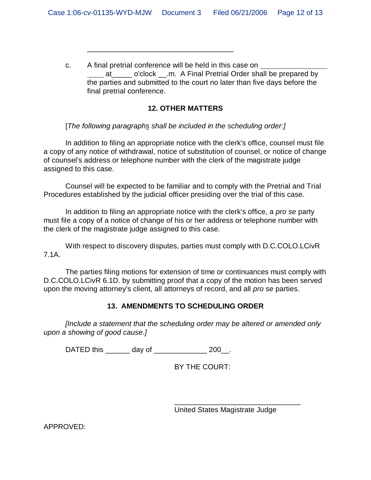c. A final pretrial conference will be held in this case on at o'clock .m. A Final Pretrial Order shall be prepared by the parties and submitted to the court no later than five days before the final pretrial conference.

#### **12. OTHER MATTERS**

[*The following paragraphs shall be included in the scheduling order:]*

\_\_\_\_\_\_\_\_\_\_\_\_\_\_\_\_\_\_\_\_\_\_\_\_\_\_\_\_\_\_\_\_\_\_\_\_

In addition to filing an appropriate notice with the clerk's office, counsel must file a copy of any notice of withdrawal, notice of substitution of counsel, or notice of change of counsel's address or telephone number with the clerk of the magistrate judge assigned to this case.

Counsel will be expected to be familiar and to comply with the Pretrial and Trial Procedures established by the judicial officer presiding over the trial of this case.

In addition to filing an appropriate notice with the clerk's office, a *pro se* party must file a copy of a notice of change of his or her address or telephone number with the clerk of the magistrate judge assigned to this case.

With respect to discovery disputes, parties must comply with D.C.COLO.LCivR 7.1A.

The parties filing motions for extension of time or continuances must comply with D.C.COLO.LCivR 6.1D. by submitting proof that a copy of the motion has been served upon the moving attorney's client, all attorneys of record, and all *pro se* parties.

## **13. AMENDMENTS TO SCHEDULING ORDER**

*[Include a statement that the scheduling order may be altered or amended only upon a showing of good cause.]*

DATED this \_\_\_\_\_\_\_ day of \_\_\_\_\_\_\_\_\_\_\_\_\_\_\_ 200\_\_.

BY THE COURT:

United States Magistrate Judge

\_\_\_\_\_\_\_\_\_\_\_\_\_\_\_\_\_\_\_\_\_\_\_\_\_\_\_\_\_\_\_